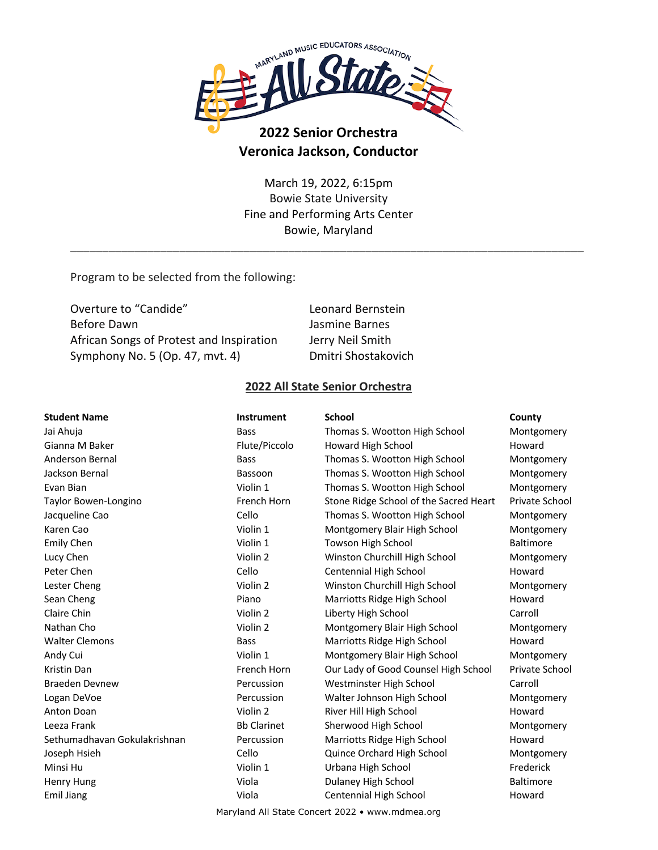

# **2022 Senior Orchestra Veronica Jackson, Conductor**

March 19, 2022, 6:15pm Bowie State University Fine and Performing Arts Center Bowie, Maryland

\_\_\_\_\_\_\_\_\_\_\_\_\_\_\_\_\_\_\_\_\_\_\_\_\_\_\_\_\_\_\_\_\_\_\_\_\_\_\_\_\_\_\_\_\_\_\_\_\_\_\_\_\_\_\_\_\_\_\_\_\_\_\_\_\_\_\_\_\_\_\_\_\_\_\_\_\_\_\_\_

Program to be selected from the following:

| Leonard Bernstein   |
|---------------------|
| Jasmine Barnes      |
| Jerry Neil Smith    |
| Dmitri Shostakovich |
|                     |

### **2022 All State Senior Orchestra**

| <b>Student Name</b>          | <b>Instrument</b>  | <b>School</b>                          | County                |
|------------------------------|--------------------|----------------------------------------|-----------------------|
| Jai Ahuja                    | <b>Bass</b>        | Thomas S. Wootton High School          | Montgomery            |
| Gianna M Baker               | Flute/Piccolo      | Howard High School                     | Howard                |
| Anderson Bernal              | <b>Bass</b>        | Thomas S. Wootton High School          | Montgomery            |
| Jackson Bernal               | Bassoon            | Thomas S. Wootton High School          | Montgomery            |
| Evan Bian                    | Violin 1           | Thomas S. Wootton High School          | Montgomery            |
| Taylor Bowen-Longino         | French Horn        | Stone Ridge School of the Sacred Heart | Private School        |
| Jacqueline Cao               | Cello              | Thomas S. Wootton High School          | Montgomery            |
| Karen Cao                    | Violin 1           | Montgomery Blair High School           | Montgomery            |
| <b>Emily Chen</b>            | Violin 1           | Towson High School                     | Baltimore             |
| Lucy Chen                    | Violin 2           | Winston Churchill High School          | Montgomery            |
| Peter Chen                   | Cello              | Centennial High School                 | Howard                |
| Lester Cheng                 | Violin 2           | Winston Churchill High School          | Montgomery            |
| Sean Cheng                   | Piano              | Marriotts Ridge High School            | Howard                |
| Claire Chin                  | Violin 2           | Liberty High School                    | Carroll               |
| Nathan Cho                   | Violin 2           | Montgomery Blair High School           | Montgomery            |
| <b>Walter Clemons</b>        | <b>Bass</b>        | Marriotts Ridge High School            | Howard                |
| Andy Cui                     | Violin 1           | Montgomery Blair High School           | Montgomery            |
| Kristin Dan                  | French Horn        | Our Lady of Good Counsel High School   | <b>Private School</b> |
| <b>Braeden Devnew</b>        | Percussion         | Westminster High School                | Carroll               |
| Logan DeVoe                  | Percussion         | Walter Johnson High School             | Montgomery            |
| <b>Anton Doan</b>            | Violin 2           | River Hill High School                 | Howard                |
| Leeza Frank                  | <b>Bb Clarinet</b> | Sherwood High School                   | Montgomery            |
| Sethumadhavan Gokulakrishnan | Percussion         | Marriotts Ridge High School            | Howard                |
| Joseph Hsieh                 | Cello              | Quince Orchard High School             | Montgomery            |
| Minsi Hu                     | Violin 1           | Urbana High School                     | Frederick             |
| Henry Hung                   | Viola              | Dulaney High School                    | <b>Baltimore</b>      |
| <b>Emil Jiang</b>            | Viola              | Centennial High School                 | Howard                |
|                              |                    |                                        |                       |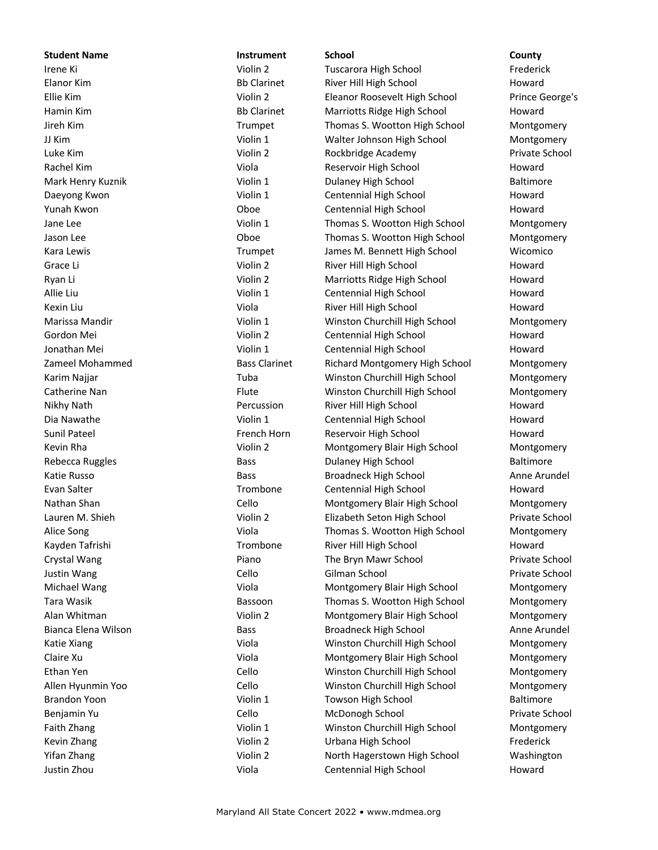**Student Name Instrument School County** Irene Ki Violin 2 Tuscarora High School Frederick Elanor Kim **Bb Clarinet** River Hill High School Howard Howard Ellie Kim Violin 2 Eleanor Roosevelt High School Prince George's Hamin Kim **Bb Clarinet** Marriotts Ridge High School Howard Jireh Kim Trumpet Thomas S. Wootton High School Montgomery JJ Kim Violin 1 Walter Johnson High School Montgomery Luke Kim Violin 2 Rockbridge Academy Private School Rachel Kim **Rachel Kim Community Community** Viola Reservoir High School **Howard** Howard Mark Henry Kuznik **Nark Henry Kuznik Communist Communist Communist Communist Communist Communist Communist Communist Communist Communist Communist Communist Communist Communist Communist Communist Communist Communist Commu** Daeyong Kwon **CENT CENTER CONTAINER IN THE CENTER OF CENTER A** Centennial High School **Howard** Howard Yunah Kwon **Charlotter Communist Communist Communist Contennial High School Communist Communist Communist Communist Communist Communist Communist Communist Communist Communist Communist Communist Communist Communist Commun** Jane Lee **The Contract Contract Contract Contract Contract Contract Contract Contract Contract Contract Contract Contract Contract Contract Contract Contract Contract Contract Contract Contract Contract Contract Contract C** Jason Lee **Thomas S. Wootton High School** Montgomery Kara Lewis **Trumpet** James M. Bennett High School Wicomico Grace Li **Calculation Community Community** Violin 2 River Hill High School **Howard** Howard Ryan Li **National Life Common Common Common Violin 2** Marriotts Ridge High School **Howard** Allie Liu Centennial High School Howard Nights Centennial High School Howard Kexin Liu **Martin Albert Communist Communist Communist Communist Communist Communist Communist Communist Communist Communist Communist Communist Communist Communist Communist Communist Communist Communist Communist Communi** Marissa Mandir **Nation 2018** Violin 1 Winston Churchill High School Montgomery Gordon Mei **Christian Centennial High School Howard** Howard Jonathan Mei **School Centennial High School Howard** Violin 1 Centennial High School **Howard** Zameel Mohammed **Bass Clarinet** Richard Montgomery High School Montgomery Montgomery Karim Najjar **Tuba** Tuba Winston Churchill High School Montgomery Catherine Nan **Flute** Flute Winston Churchill High School Montgomery Nikhy Nath **Percussion** River Hill High School **Howard** Howard Dia Nawathe **National Accord Centennial High School** Howard Howard Sunil Pateel **French Horn** Reservoir High School **Howard** Howard Kevin Rha **Violin 2** Violin 2 Montgomery Blair High School Montgomery Montgomery Rebecca Ruggles **Bass** Bass Bass Dulaney High School Baltimore Katie Russo Bass Broadneck High School Anne Arundel Evan Salter **Trombone** Centennial High School Howard Nathan Shan Cello Montgomery Blair High School Montgomery Lauren M. Shieh Violin 2 Elizabeth Seton High School Private School Alice Song **Viola** Viola **Thomas S. Wootton High School** Montgomery Kayden Tafrishi Trombone River Hill High School Howard Crystal Wang The Bryn Mawr School Private School Crystal Wang Private School Private School Private School Justin Wang Cello Gilman School Private School Michael Wang **Montgomery Blair High School** Montgomery Blair High School Montgomery Tara Wasik **Bassoon** Bassoon Thomas S. Wootton High School Montgomery Alan Whitman **Violin 2** Wiolin 2 Montgomery Blair High School Montgomery Montgomery Bianca Elena Wilson Bass Broadneck High School Anne Arundel Katie Xiang **Viola** Viola **Winston Churchill High School** Montgomery Montgomery Claire Xu Viola Montgomery Blair High School Montgomery Ethan Yen Cello Winston Churchill High School Montgomery Allen Hyunmin Yoo Cello Winston Churchill High School Montgomery Brandon Yoon **Brandon Yoon** Violin 1 Towson High School Baltimore Benjamin Yu **Cello** Cello McDonogh School Private School Private School Private School Private School Private School Faith Zhang The School Churchill High School Montgomery Violin 1 Winston Churchill High School Montgomery Kevin Zhang Thang Theorem Collin 2 Urbana High School Frederick Frederick Yifan Zhang North Hagerstown High School Washington North Hagerstown High School Washington Justin Zhou Viola Centennial High School Howard